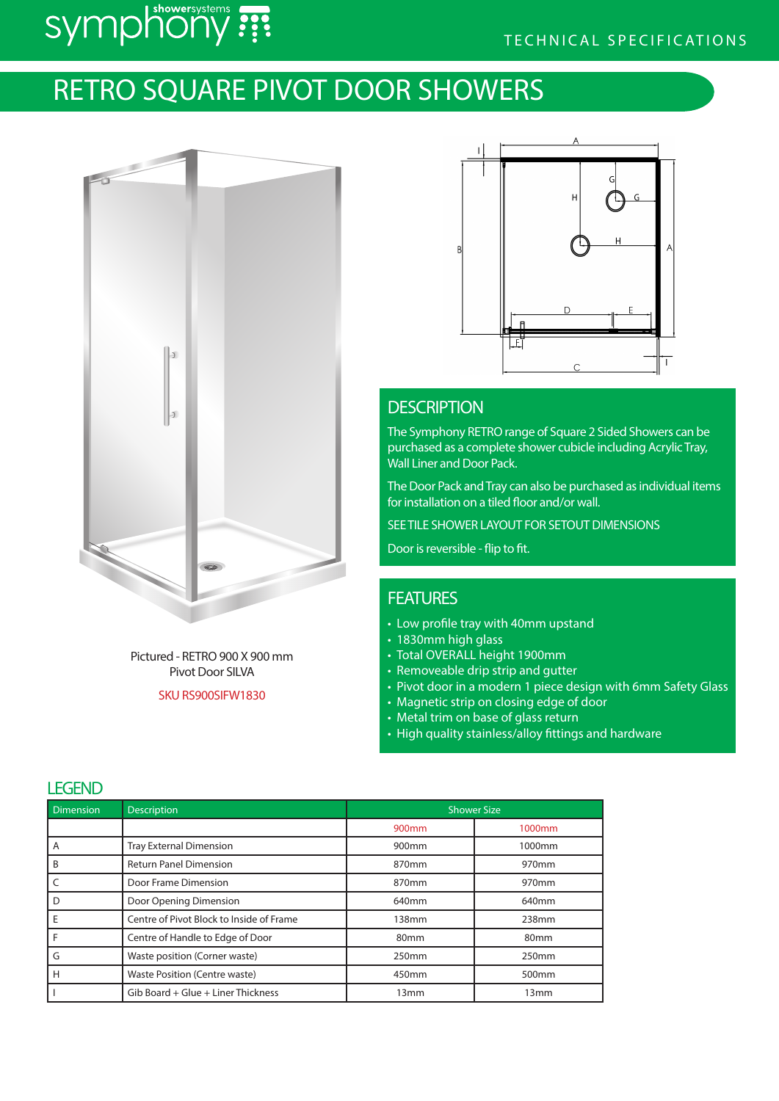# TECHNICAL SPECIFICATIONS

# symphony :

# RETRO SQUARE PIVOT DOOR SHOWERS



Pictured - RETRO 900 X 900 mm Pivot Door SILVA

SKU RS900SIFW1830



# **DESCRIPTION**

The Symphony RETRO range of Square 2 Sided Showers can be purchased as a complete shower cubicle including Acrylic Tray, Wall Liner and Door Pack.

The Door Pack and Tray can also be purchased as individual items for installation on a tiled floor and/or wall.

SEE TILE SHOWER LAYOUT FOR SETOUT DIMENSIONS

Door is reversible - flip to fit.

## **FEATURES**

- Low profile tray with 40mm upstand
- 1830mm high glass
- Total OVERALL height 1900mm
- Removeable drip strip and gutter
- Pivot door in a modern 1 piece design with 6mm Safety Glass
- Magnetic strip on closing edge of door
- Metal trim on base of glass return
- High quality stainless/alloy fittings and hardware

### **LEGENID**

| ᄔᄓᄔ              |                                          |                    |                   |  |
|------------------|------------------------------------------|--------------------|-------------------|--|
| <b>Dimension</b> | <b>Description</b>                       | <b>Shower Size</b> |                   |  |
|                  |                                          | 900 <sub>mm</sub>  | 1000mm            |  |
| A                | <b>Tray External Dimension</b>           | 900 <sub>mm</sub>  | 1000mm            |  |
| B                | <b>Return Panel Dimension</b>            | 870 <sub>mm</sub>  | 970 <sub>mm</sub> |  |
|                  | Door Frame Dimension                     | 870mm              | 970mm             |  |
|                  | Door Opening Dimension                   | 640 <sub>mm</sub>  | 640 <sub>mm</sub> |  |
| Ε                | Centre of Pivot Block to Inside of Frame | 138mm              | 238mm             |  |
|                  | Centre of Handle to Edge of Door         | 80 <sub>mm</sub>   | 80 <sub>mm</sub>  |  |
| G                | Waste position (Corner waste)            | 250 <sub>mm</sub>  | 250mm             |  |
| Н                | Waste Position (Centre waste)            | 450mm              | 500 <sub>mm</sub> |  |
|                  | Gib Board + Glue + Liner Thickness       | 13 <sub>mm</sub>   | 13 <sub>mm</sub>  |  |